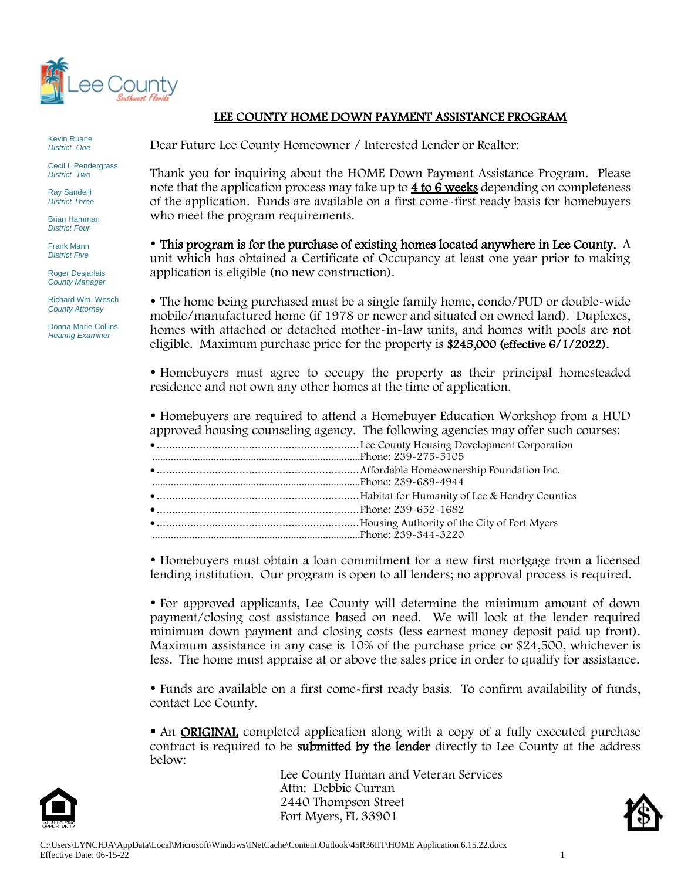

Kevin Ruane *District One*

Cecil L Pendergrass *District Two*

Ray Sandelli *District Three*

Brian Hamman *District Four*

Frank Mann *District Five*

Roger Desjarlais *County Manager*

Richard Wm. Wesch *County Attorney*

Donna Marie Collins *Hearing Examiner*

# LEE COUNTY HOME DOWN PAYMENT ASSISTANCE PROGRAM

Dear Future Lee County Homeowner / Interested Lender or Realtor:

Thank you for inquiring about the HOME Down Payment Assistance Program. Please note that the application process may take up to 4 to 6 weeks depending on completeness of the application. Funds are available on a first come-first ready basis for homebuyers who meet the program requirements.

 This program is for the purchase of existing homes located anywhere in Lee County. A unit which has obtained a Certificate of Occupancy at least one year prior to making application is eligible (no new construction).

 The home being purchased must be a single family home, condo/PUD or double-wide mobile/manufactured home (if 1978 or newer and situated on owned land). Duplexes, homes with attached or detached mother-in-law units, and homes with pools are not eligible. Maximum purchase price for the property is \$245,000 (effective 6/1/2022).

• Homebuyers must agree to occupy the property as their principal homesteaded residence and not own any other homes at the time of application.

 Homebuyers are required to attend a Homebuyer Education Workshop from a HUD approved housing counseling agency. The following agencies may offer such courses:

 Homebuyers must obtain a loan commitment for a new first mortgage from a licensed lending institution. Our program is open to all lenders; no approval process is required.

 For approved applicants, Lee County will determine the minimum amount of down payment/closing cost assistance based on need. We will look at the lender required minimum down payment and closing costs (less earnest money deposit paid up front). Maximum assistance in any case is 10% of the purchase price or \$24,500, whichever is less. The home must appraise at or above the sales price in order to qualify for assistance.

 Funds are available on a first come-first ready basis. To confirm availability of funds, contact Lee County.

■ An **ORIGINAL** completed application along with a copy of a fully executed purchase contract is required to be submitted by the lender directly to Lee County at the address below:



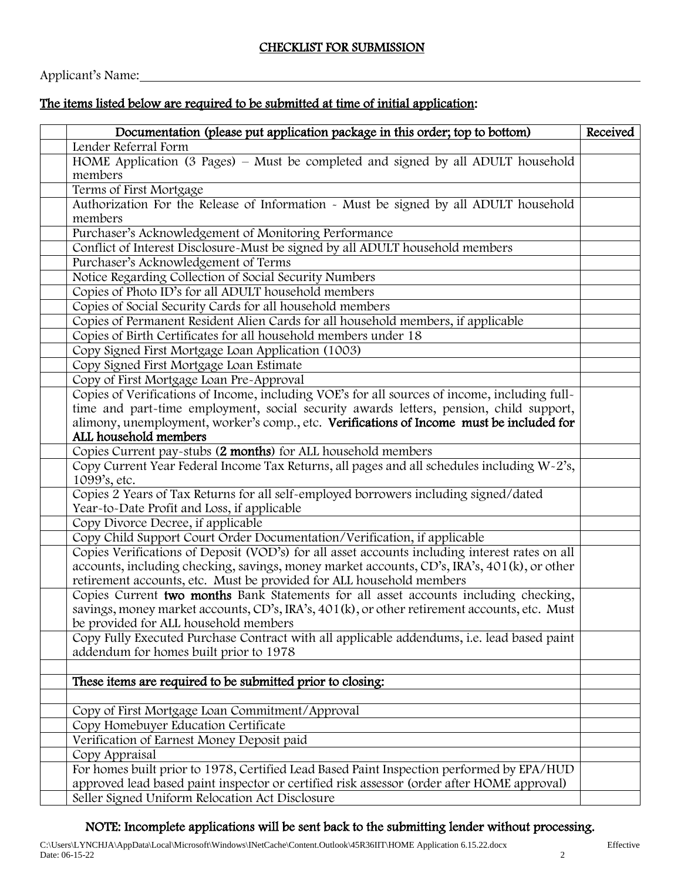Applicant's Name:

# The items listed below are required to be submitted at time of initial application:

| Documentation (please put application package in this order; top to bottom)                    | Received |
|------------------------------------------------------------------------------------------------|----------|
| Lender Referral Form                                                                           |          |
| HOME Application (3 Pages) – Must be completed and signed by all ADULT household               |          |
| members                                                                                        |          |
| Terms of First Mortgage                                                                        |          |
| Authorization For the Release of Information - Must be signed by all ADULT household           |          |
| members                                                                                        |          |
| Purchaser's Acknowledgement of Monitoring Performance                                          |          |
| Conflict of Interest Disclosure-Must be signed by all ADULT household members                  |          |
| Purchaser's Acknowledgement of Terms                                                           |          |
| Notice Regarding Collection of Social Security Numbers                                         |          |
| Copies of Photo ID's for all ADULT household members                                           |          |
| Copies of Social Security Cards for all household members                                      |          |
| Copies of Permanent Resident Alien Cards for all household members, if applicable              |          |
| Copies of Birth Certificates for all household members under 18                                |          |
| Copy Signed First Mortgage Loan Application (1003)                                             |          |
| Copy Signed First Mortgage Loan Estimate                                                       |          |
| Copy of First Mortgage Loan Pre-Approval                                                       |          |
| Copies of Verifications of Income, including VOE's for all sources of income, including full-  |          |
| time and part-time employment, social security awards letters, pension, child support,         |          |
| alimony, unemployment, worker's comp., etc. Verifications of Income must be included for       |          |
| ALL household members                                                                          |          |
| Copies Current pay-stubs (2 months) for ALL household members                                  |          |
| Copy Current Year Federal Income Tax Returns, all pages and all schedules including W-2's,     |          |
| 1099's, etc.                                                                                   |          |
| Copies 2 Years of Tax Returns for all self-employed borrowers including signed/dated           |          |
| Year-to-Date Profit and Loss, if applicable                                                    |          |
| Copy Divorce Decree, if applicable                                                             |          |
| Copy Child Support Court Order Documentation/Verification, if applicable                       |          |
| Copies Verifications of Deposit (VOD's) for all asset accounts including interest rates on all |          |
| accounts, including checking, savings, money market accounts, CD's, IRA's, 401(k), or other    |          |
| retirement accounts, etc. Must be provided for ALL household members                           |          |
| Copies Current two months Bank Statements for all asset accounts including checking,           |          |
| savings, money market accounts, CD's, IRA's, 401(k), or other retirement accounts, etc. Must   |          |
| be provided for ALL household members                                                          |          |
| Copy Fully Executed Purchase Contract with all applicable addendums, i.e. lead based paint     |          |
| addendum for homes built prior to 1978                                                         |          |
|                                                                                                |          |
| These items are required to be submitted prior to closing:                                     |          |
|                                                                                                |          |
| Copy of First Mortgage Loan Commitment/Approval                                                |          |
| Copy Homebuyer Education Certificate                                                           |          |
| Verification of Earnest Money Deposit paid                                                     |          |
| Copy Appraisal                                                                                 |          |
| For homes built prior to 1978, Certified Lead Based Paint Inspection performed by EPA/HUD      |          |
| approved lead based paint inspector or certified risk assessor (order after HOME approval)     |          |
| Seller Signed Uniform Relocation Act Disclosure                                                |          |
|                                                                                                |          |

# NOTE: Incomplete applications will be sent back to the submitting lender without processing.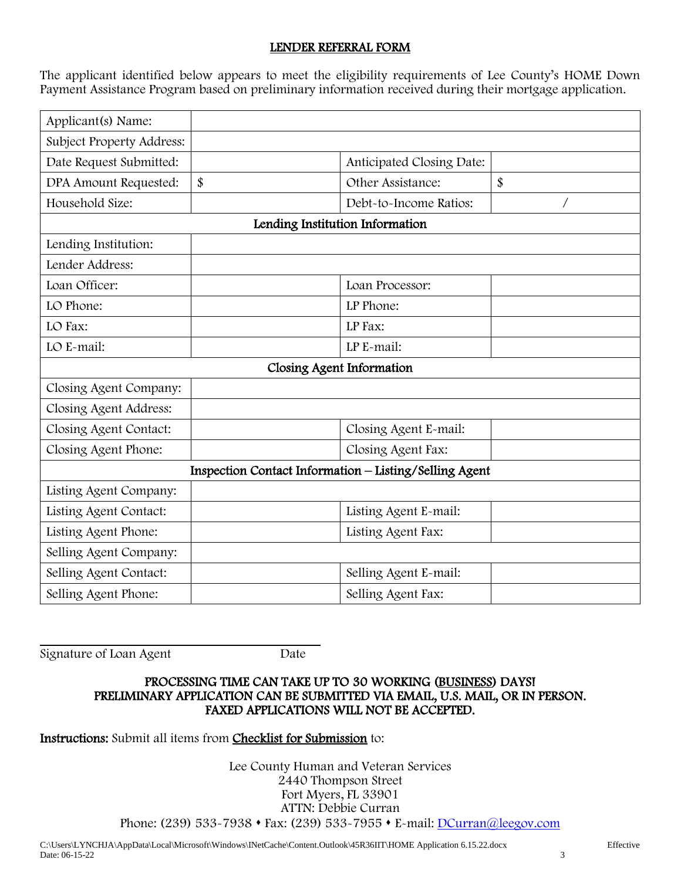# LENDER REFERRAL FORM

The applicant identified below appears to meet the eligibility requirements of Lee County's HOME Down Payment Assistance Program based on preliminary information received during their mortgage application.

| Applicant(s) Name:        |    |                                                        |    |  |
|---------------------------|----|--------------------------------------------------------|----|--|
| Subject Property Address: |    |                                                        |    |  |
| Date Request Submitted:   |    | Anticipated Closing Date:                              |    |  |
| DPA Amount Requested:     | \$ | Other Assistance:                                      | \$ |  |
| Household Size:           |    | Debt-to-Income Ratios:                                 |    |  |
|                           |    | Lending Institution Information                        |    |  |
| Lending Institution:      |    |                                                        |    |  |
| Lender Address:           |    |                                                        |    |  |
| Loan Officer:             |    | Loan Processor:                                        |    |  |
| LO Phone:                 |    | LP Phone:                                              |    |  |
| LO Fax:                   |    | LP Fax:                                                |    |  |
| LO E-mail:                |    | LP E-mail:                                             |    |  |
| Closing Agent Information |    |                                                        |    |  |
| Closing Agent Company:    |    |                                                        |    |  |
| Closing Agent Address:    |    |                                                        |    |  |
| Closing Agent Contact:    |    | Closing Agent E-mail:                                  |    |  |
| Closing Agent Phone:      |    | Closing Agent Fax:                                     |    |  |
|                           |    | Inspection Contact Information - Listing/Selling Agent |    |  |
| Listing Agent Company:    |    |                                                        |    |  |
| Listing Agent Contact:    |    | Listing Agent E-mail:                                  |    |  |
| Listing Agent Phone:      |    | Listing Agent Fax:                                     |    |  |
| Selling Agent Company:    |    |                                                        |    |  |
| Selling Agent Contact:    |    | Selling Agent E-mail:                                  |    |  |
| Selling Agent Phone:      |    | Selling Agent Fax:                                     |    |  |

Signature of Loan Agent Date

#### PROCESSING TIME CAN TAKE UP TO 30 WORKING (BUSINESS) DAYS! PRELIMINARY APPLICATION CAN BE SUBMITTED VIA EMAIL, U.S. MAIL, OR IN PERSON. FAXED APPLICATIONS WILL NOT BE ACCEPTED.

#### Instructions: Submit all items from Checklist for Submission to:

Lee County Human and Veteran Services 2440 Thompson Street Fort Myers, FL 33901 ATTN: Debbie Curran Phone: (239) 533-7938 ⬧ Fax: (239) 533-7955 ⬧ E-mail: [DCurran@leegov.com](mailto:DCurran@leegov.com)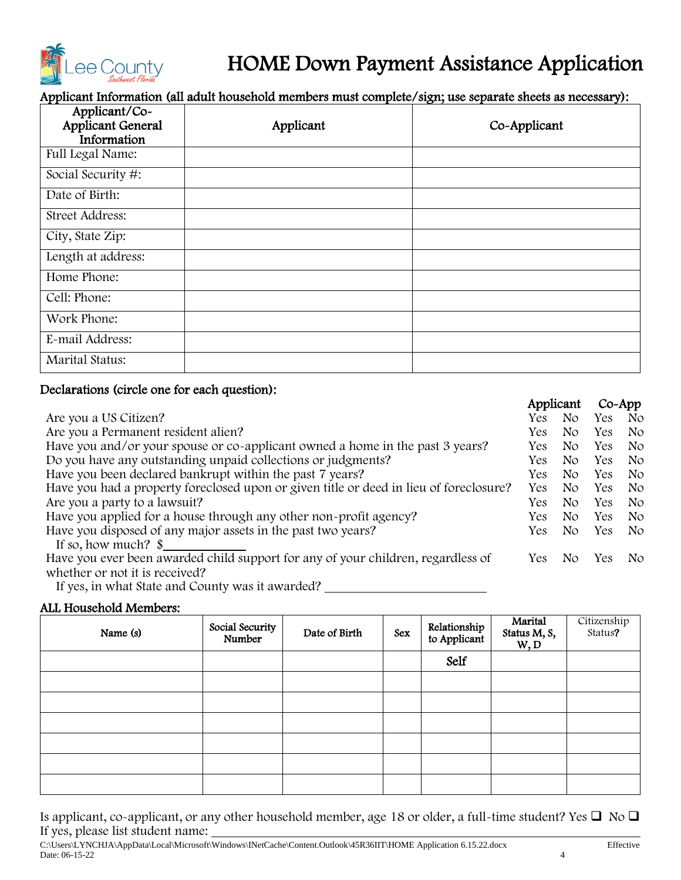

# HOME Down Payment Assistance Application

Applicant Information (all adult household members must complete/sign; use separate sheets as necessary):

| Applicant/Co-<br><b>Applicant General</b><br>Information | Applicant | Co-Applicant |
|----------------------------------------------------------|-----------|--------------|
| <b>Full Legal Name:</b>                                  |           |              |
| Social Security #:                                       |           |              |
| Date of Birth:                                           |           |              |
| Street Address:                                          |           |              |
| City, State Zip:                                         |           |              |
| Length at address:                                       |           |              |
| Home Phone:                                              |           |              |
| Cell: Phone:                                             |           |              |
| Work Phone:                                              |           |              |
| E-mail Address:                                          |           |              |
| Marital Status:                                          |           |              |

# Declarations (circle one for each question):

|                                                                                        |            | Applicant | $Co-App$ |                |
|----------------------------------------------------------------------------------------|------------|-----------|----------|----------------|
| Are you a US Citizen?                                                                  | Yes        | No.       | Yes      | N <sub>O</sub> |
| Are you a Permanent resident alien?                                                    | <b>Yes</b> | No.       | Yes      | N <sub>O</sub> |
| Have you and/or your spouse or co-applicant owned a home in the past 3 years?          | Yes.       | No.       | Yes      | N <sub>o</sub> |
| Do you have any outstanding unpaid collections or judgments?                           | Yes.       | No.       | Yes.     | No.            |
| Have you been declared bankrupt within the past 7 years?                               | <b>Yes</b> | No.       | Yes      | N <sub>o</sub> |
| Have you had a property foreclosed upon or given title or deed in lieu of foreclosure? | <b>Yes</b> | No.       | Yes      | N <sub>O</sub> |
| Are you a party to a lawsuit?                                                          | Yes.       | No.       | Yes      | N <sub>O</sub> |
| Have you applied for a house through any other non-profit agency?                      | Yes.       | No.       | Yes      | No.            |
| Have you disposed of any major assets in the past two years?                           | Yes:       | No.       | Yes      | No.            |
| If so, how much? $\$                                                                   |            |           |          |                |
| Have you ever been awarded child support for any of your children, regardless of       | Yes        | No.       | Yes      | No.            |
| whether or not it is received?                                                         |            |           |          |                |
| If yes, in what State and County was it awarded?                                       |            |           |          |                |

# ALL Household Members:

| Name (s) | Social Security<br>Number | Date of Birth | Sex | Relationship<br>to Applicant | Marital<br>Status M, S,<br>W, D | Citizenship<br>Status? |
|----------|---------------------------|---------------|-----|------------------------------|---------------------------------|------------------------|
|          |                           |               |     | Self                         |                                 |                        |
|          |                           |               |     |                              |                                 |                        |
|          |                           |               |     |                              |                                 |                        |
|          |                           |               |     |                              |                                 |                        |
|          |                           |               |     |                              |                                 |                        |
|          |                           |               |     |                              |                                 |                        |
|          |                           |               |     |                              |                                 |                        |

Is applicant, co-applicant, or any other household member, age 18 or older, a full-time student? Yes ❑ No ❑ If yes, please list student name: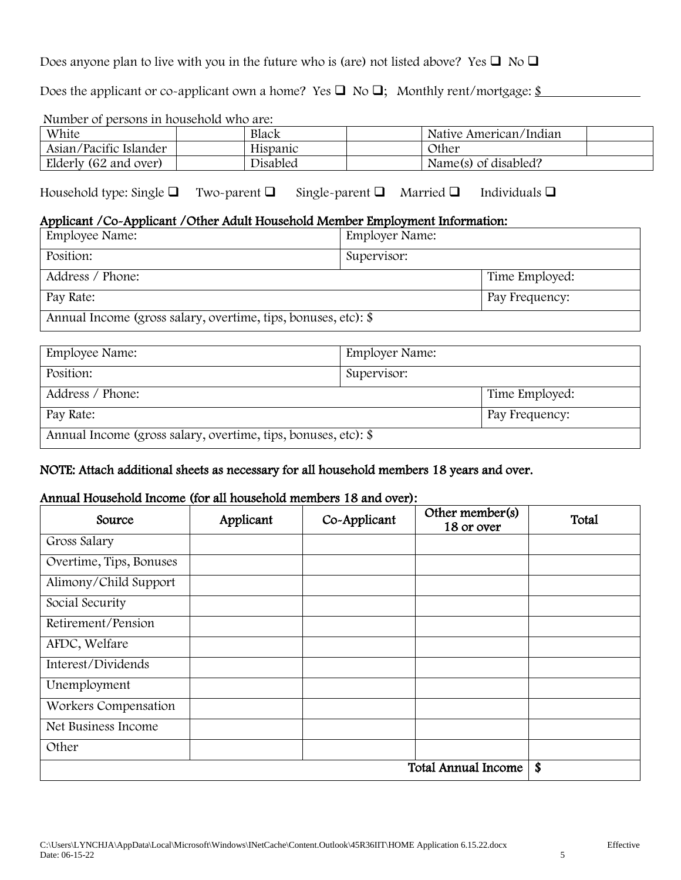Does anyone plan to live with you in the future who is (are) not listed above? Yes  $\Box$  No  $\Box$ 

Does the applicant or co-applicant own a home? Yes  $\square$  No  $\square$ ; Monthly rent/mortgage:  $\underline{\$}$ 

Number of persons in household who are:

| White                  | Black           | Native American/Indian |  |  |  |
|------------------------|-----------------|------------------------|--|--|--|
| Asian/Pacific Islander | Hispanic        | <b>Other</b>           |  |  |  |
| Elderly (62 and over)  | <b>Disabled</b> | Name(s) of disabled?   |  |  |  |

Household type: Single ❑ Two-parent ❑ Single-parent ❑ Married ❑ Individuals ❑

# Applicant /Co-Applicant /Other Adult Household Member Employment Information:

| Employee Name:                                                 | <b>Employer Name:</b> |                |  |  |
|----------------------------------------------------------------|-----------------------|----------------|--|--|
| Position:                                                      | Supervisor:           |                |  |  |
| Address / Phone:                                               |                       | Time Employed: |  |  |
| Pay Rate:                                                      |                       | Pay Frequency: |  |  |
| Annual Income (gross salary, overtime, tips, bonuses, etc): \$ |                       |                |  |  |

| Employee Name:                                                 | <b>Employer Name:</b> |  |  |
|----------------------------------------------------------------|-----------------------|--|--|
| Position:                                                      | Supervisor:           |  |  |
| Address / Phone:<br>Time Employed:                             |                       |  |  |
| Pay Rate:                                                      | Pay Frequency:        |  |  |
| Annual Income (gross salary, overtime, tips, bonuses, etc): \$ |                       |  |  |

# NOTE: Attach additional sheets as necessary for all household members 18 years and over.

# Annual Household Income (for all household members 18 and over):

| Source                  | Applicant | Co-Applicant | Other member(s)<br>18 or over | Total |
|-------------------------|-----------|--------------|-------------------------------|-------|
| Gross Salary            |           |              |                               |       |
| Overtime, Tips, Bonuses |           |              |                               |       |
| Alimony/Child Support   |           |              |                               |       |
| Social Security         |           |              |                               |       |
| Retirement/Pension      |           |              |                               |       |
| AFDC, Welfare           |           |              |                               |       |
| Interest/Dividends      |           |              |                               |       |
| Unemployment            |           |              |                               |       |
| Workers Compensation    |           |              |                               |       |
| Net Business Income     |           |              |                               |       |
| Other                   |           |              |                               |       |
|                         |           |              | <b>Total Annual Income</b>    | \$    |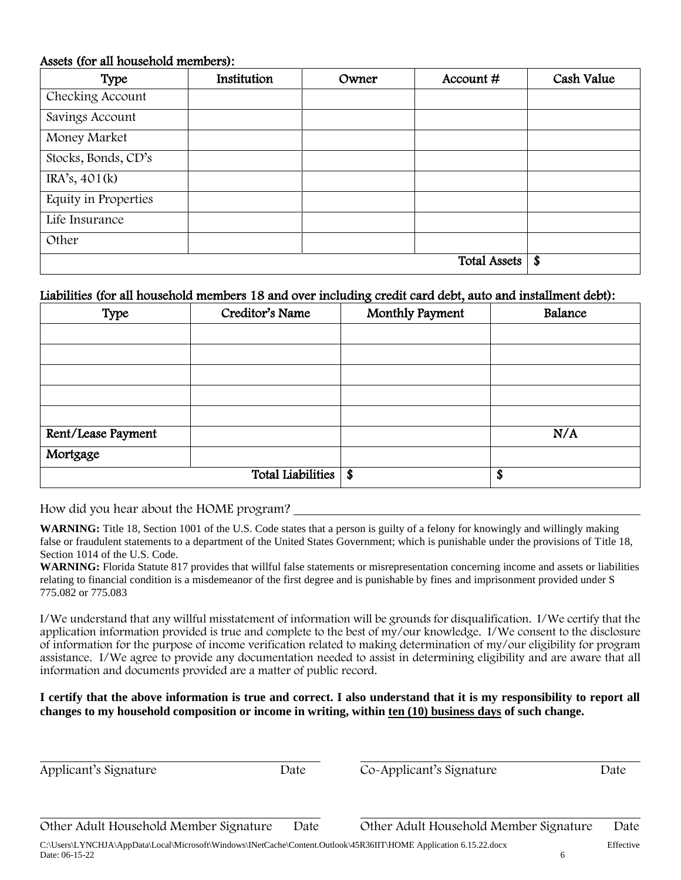#### Assets (for all household members):

| Type                 | Institution      | Owner | Account# | Cash Value |
|----------------------|------------------|-------|----------|------------|
| Checking Account     |                  |       |          |            |
| Savings Account      |                  |       |          |            |
| Money Market         |                  |       |          |            |
| Stocks, Bonds, CD's  |                  |       |          |            |
| IRA's, 401(k)        |                  |       |          |            |
| Equity in Properties |                  |       |          |            |
| Life Insurance       |                  |       |          |            |
| Other                |                  |       |          |            |
|                      | $\boldsymbol{s}$ |       |          |            |

# Liabilities (for all household members 18 and over including credit card debt, auto and installment debt):

| Type               | Creditor's Name   | Monthly Payment | Balance |
|--------------------|-------------------|-----------------|---------|
|                    |                   |                 |         |
|                    |                   |                 |         |
|                    |                   |                 |         |
|                    |                   |                 |         |
|                    |                   |                 |         |
| Rent/Lease Payment |                   |                 | N/A     |
| Mortgage           |                   |                 |         |
|                    | Total Liabilities | $\sqrt[4]{3}$   | \$      |

How did you hear about the HOME program?

WARNING: Title 18, Section 1001 of the U.S. Code states that a person is guilty of a felony for knowingly and willingly making false or fraudulent statements to a department of the United States Government; which is punishable under the provisions of Title 18, Section 1014 of the U.S. Code.

**WARNING:** Florida Statute 817 provides that willful false statements or misrepresentation concerning income and assets or liabilities relating to financial condition is a misdemeanor of the first degree and is punishable by fines and imprisonment provided under S 775.082 or 775.083

I/We understand that any willful misstatement of information will be grounds for disqualification. I/We certify that the application information provided is true and complete to the best of my/our knowledge. I/We consent to the disclosure of information for the purpose of income verification related to making determination of my/our eligibility for program assistance. I/We agree to provide any documentation needed to assist in determining eligibility and are aware that all information and documents provided are a matter of public record.

#### **I certify that the above information is true and correct. I also understand that it is my responsibility to report all changes to my household composition or income in writing, within ten (10) business days of such change.**

| Applicant's Signature                  | Date | Co-Applicant's Signature               | Date |
|----------------------------------------|------|----------------------------------------|------|
|                                        |      |                                        |      |
| Other Adult Household Member Signature | Date | Other Adult Household Member Signature | Date |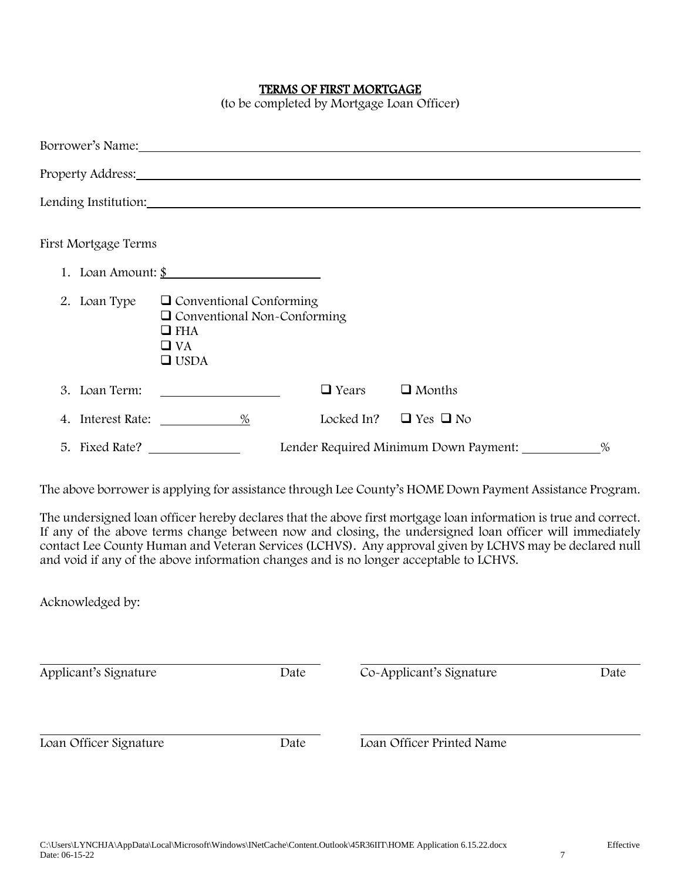#### TERMS OF FIRST MORTGAGE

(to be completed by Mortgage Loan Officer)

|                      | Borrower's Name: Name: Name and South Assembly Name and South Assembly Name and South Assembly Name and South Assembly Name and South Assembly Name and South Assembly Name and Assembly Name and Assembly Name and Assembly N |              |                                       |   |
|----------------------|--------------------------------------------------------------------------------------------------------------------------------------------------------------------------------------------------------------------------------|--------------|---------------------------------------|---|
|                      | Property Address: 1988 and 2008 and 2008 and 2008 and 2008 and 2008 and 2008 and 2008 and 2008 and 2008 and 20                                                                                                                 |              |                                       |   |
|                      | Lending Institution:                                                                                                                                                                                                           |              |                                       |   |
| First Mortgage Terms |                                                                                                                                                                                                                                |              |                                       |   |
|                      | 1. Loan Amount: $\frac{\S}{}$                                                                                                                                                                                                  |              |                                       |   |
| 2. Loan Type         | $\Box$ Conventional Conforming<br>$\Box$ Conventional Non-Conforming<br>$\Box$ FHA<br>$\Box$ VA<br>$\Box$ USDA                                                                                                                 |              |                                       |   |
| 3. Loan Term:        |                                                                                                                                                                                                                                | $\Box$ Years | $\Box$ Months                         |   |
|                      |                                                                                                                                                                                                                                | Locked In?   | $\Box$ Yes $\Box$ No                  |   |
| 5. Fixed Rate?       |                                                                                                                                                                                                                                |              | Lender Required Minimum Down Payment: | % |

The above borrower is applying for assistance through Lee County's HOME Down Payment Assistance Program.

The undersigned loan officer hereby declares that the above first mortgage loan information is true and correct. If any of the above terms change between now and closing, the undersigned loan officer will immediately contact Lee County Human and Veteran Services (LCHVS). Any approval given by LCHVS may be declared null and void if any of the above information changes and is no longer acceptable to LCHVS.

Acknowledged by:

| Applicant's Signature  | Date | Co-Applicant's Signature  | Date |
|------------------------|------|---------------------------|------|
| Loan Officer Signature | Date | Loan Officer Printed Name |      |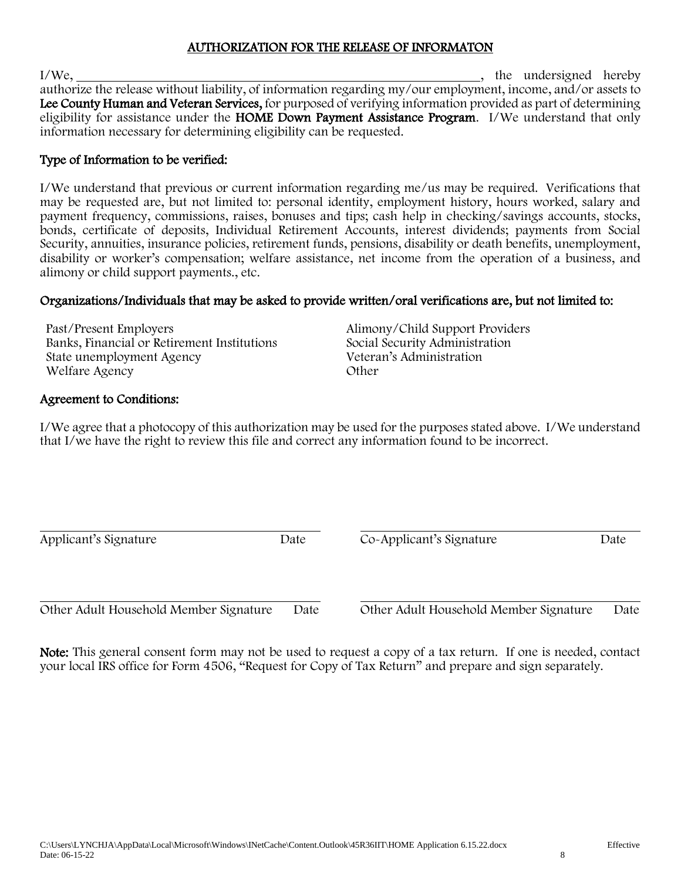# AUTHORIZATION FOR THE RELEASE OF INFORMATON

I/We, 1/We, 2002 and 100 and 100 and 100 and 100 and 100 and 100 and 100 and 100 and 100 and 100 and 100 and 100 and 100 and 100 and 100 and 100 and 100 and 100 and 100 and 100 and 100 and 100 and 100 and 100 and 100 and 1 authorize the release without liability, of information regarding my/our employment, income, and/or assets to Lee County Human and Veteran Services, for purposed of verifying information provided as part of determining eligibility for assistance under the HOME Down Payment Assistance Program. I/We understand that only information necessary for determining eligibility can be requested.

# Type of Information to be verified:

I/We understand that previous or current information regarding me/us may be required. Verifications that may be requested are, but not limited to: personal identity, employment history, hours worked, salary and payment frequency, commissions, raises, bonuses and tips; cash help in checking/savings accounts, stocks, bonds, certificate of deposits, Individual Retirement Accounts, interest dividends; payments from Social Security, annuities, insurance policies, retirement funds, pensions, disability or death benefits, unemployment, disability or worker's compensation; welfare assistance, net income from the operation of a business, and alimony or child support payments., etc.

# Organizations/Individuals that may be asked to provide written/oral verifications are, but not limited to:

Past/Present Employers<br>
Banks, Financial or Retirement Institutions<br>
Social Security Administration Banks, Financial or Retirement Institutions Social Security Administration<br>State unemployment Agency Veteran's Administration State unemployment Agency Welfare Agency Other

# Agreement to Conditions:

I/We agree that a photocopy of this authorization may be used for the purposes stated above. I/We understand that I/we have the right to review this file and correct any information found to be incorrect.

Applicant's Signature Date Date Co-Applicant's Signature Date

Other Adult Household Member Signature Date Other Adult Household Member Signature Date

Note: This general consent form may not be used to request a copy of a tax return. If one is needed, contact your local IRS office for Form 4506, "Request for Copy of Tax Return" and prepare and sign separately.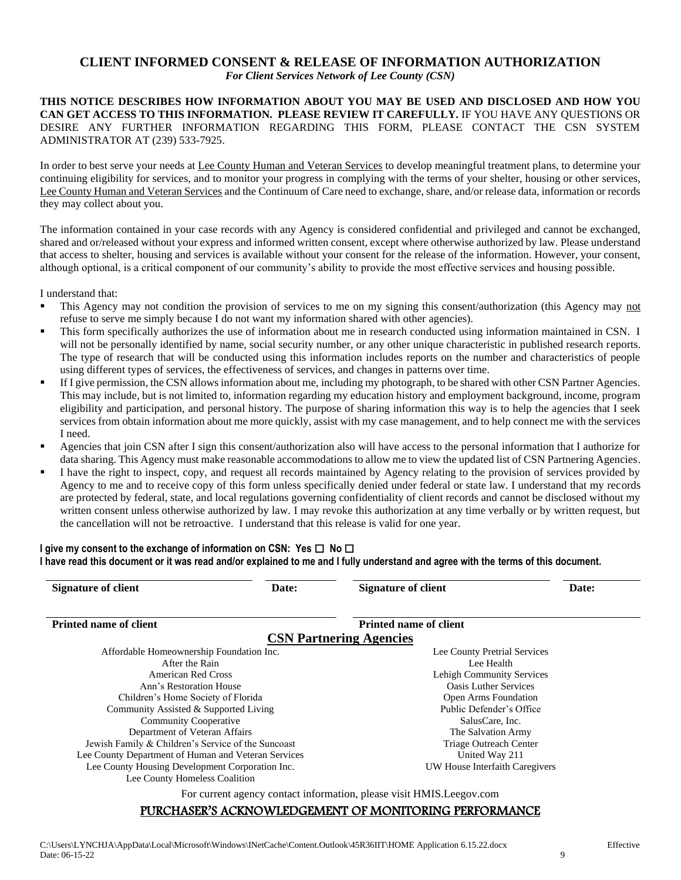# **CLIENT INFORMED CONSENT & RELEASE OF INFORMATION AUTHORIZATION**

*For Client Services Network of Lee County (CSN)*

#### **THIS NOTICE DESCRIBES HOW INFORMATION ABOUT YOU MAY BE USED AND DISCLOSED AND HOW YOU CAN GET ACCESS TO THIS INFORMATION. PLEASE REVIEW IT CAREFULLY.** IF YOU HAVE ANY QUESTIONS OR DESIRE ANY FURTHER INFORMATION REGARDING THIS FORM, PLEASE CONTACT THE CSN SYSTEM ADMINISTRATOR AT (239) 533-7925.

In order to best serve your needs at Lee County Human and Veteran Services to develop meaningful treatment plans, to determine your continuing eligibility for services, and to monitor your progress in complying with the terms of your shelter, housing or other services, Lee County Human and Veteran Services and the Continuum of Care need to exchange, share, and/or release data, information or records they may collect about you.

The information contained in your case records with any Agency is considered confidential and privileged and cannot be exchanged, shared and or/released without your express and informed written consent, except where otherwise authorized by law. Please understand that access to shelter, housing and services is available without your consent for the release of the information. However, your consent, although optional, is a critical component of our community's ability to provide the most effective services and housing possible.

I understand that:

- This Agency may not condition the provision of services to me on my signing this consent/authorization (this Agency may not refuse to serve me simply because I do not want my information shared with other agencies).
- This form specifically authorizes the use of information about me in research conducted using information maintained in CSN. I will not be personally identified by name, social security number, or any other unique characteristic in published research reports. The type of research that will be conducted using this information includes reports on the number and characteristics of people using different types of services, the effectiveness of services, and changes in patterns over time.
- **If I give permission, the CSN allows information about me, including my photograph, to be shared with other CSN Partner Agencies.** This may include, but is not limited to, information regarding my education history and employment background, income, program eligibility and participation, and personal history. The purpose of sharing information this way is to help the agencies that I seek services from obtain information about me more quickly, assist with my case management, and to help connect me with the services I need.
- Agencies that join CSN after I sign this consent/authorization also will have access to the personal information that I authorize for data sharing. This Agency must make reasonable accommodations to allow me to view the updated list of CSN Partnering Agencies.
- I have the right to inspect, copy, and request all records maintained by Agency relating to the provision of services provided by Agency to me and to receive copy of this form unless specifically denied under federal or state law. I understand that my records are protected by federal, state, and local regulations governing confidentiality of client records and cannot be disclosed without my written consent unless otherwise authorized by law. I may revoke this authorization at any time verbally or by written request, but the cancellation will not be retroactive. I understand that this release is valid for one year.

#### **I give my consent to the exchange of information on CSN: Yes**  $\Box$  **No**  $\Box$ **I have read this document or it was read and/or explained to me and I fully understand and agree with the terms of this document.**

| <b>Signature of client</b>                          | Date: | <b>Signature of client</b>                                            | Date: |  |  |
|-----------------------------------------------------|-------|-----------------------------------------------------------------------|-------|--|--|
| <b>Printed name of client</b>                       |       | <b>Printed name of client</b>                                         |       |  |  |
|                                                     |       | <b>CSN Partnering Agencies</b>                                        |       |  |  |
| Affordable Homeownership Foundation Inc.            |       | Lee County Pretrial Services                                          |       |  |  |
| After the Rain                                      |       | Lee Health                                                            |       |  |  |
| American Red Cross                                  |       | Lehigh Community Services                                             |       |  |  |
| Ann's Restoration House                             |       | <b>Oasis Luther Services</b>                                          |       |  |  |
| Children's Home Society of Florida                  |       | <b>Open Arms Foundation</b>                                           |       |  |  |
| Community Assisted & Supported Living               |       | Public Defender's Office                                              |       |  |  |
| <b>Community Cooperative</b>                        |       | SalusCare, Inc.                                                       |       |  |  |
| Department of Veteran Affairs                       |       | The Salvation Army                                                    |       |  |  |
| Jewish Family & Children's Service of the Suncoast  |       | Triage Outreach Center                                                |       |  |  |
| Lee County Department of Human and Veteran Services |       | United Way 211                                                        |       |  |  |
| Lee County Housing Development Corporation Inc.     |       | UW House Interfaith Caregivers                                        |       |  |  |
| Lee County Homeless Coalition                       |       |                                                                       |       |  |  |
|                                                     |       | For current agency contact information, please visit HMIS. Leegov.com |       |  |  |
|                                                     |       | PURCHASER'S ACKNOWLEDGEMENT OF MONITORING PERFORMANCE                 |       |  |  |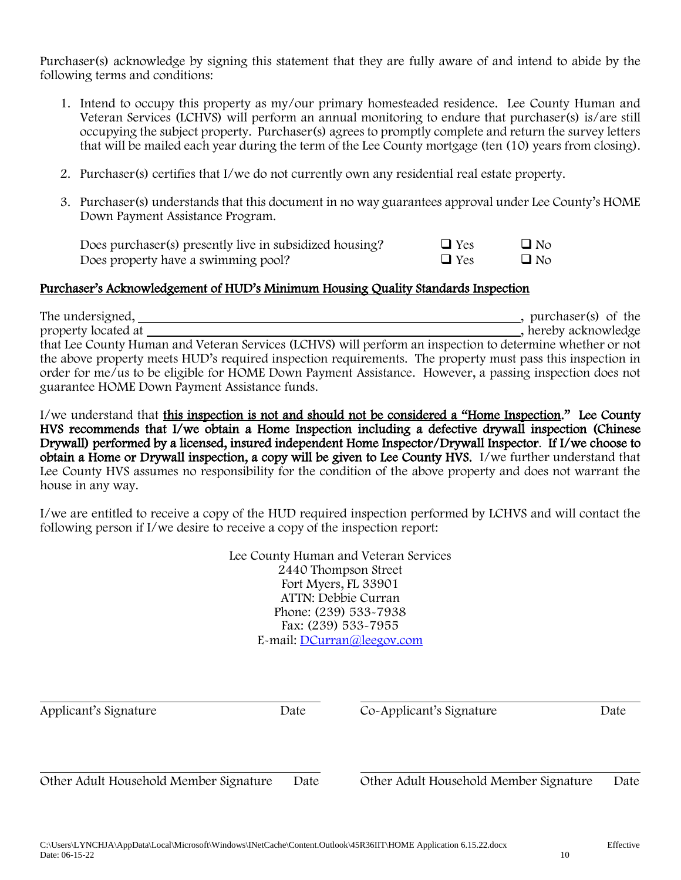Purchaser(s) acknowledge by signing this statement that they are fully aware of and intend to abide by the following terms and conditions:

- 1. Intend to occupy this property as my/our primary homesteaded residence. Lee County Human and Veteran Services (LCHVS) will perform an annual monitoring to endure that purchaser(s) is/are still occupying the subject property. Purchaser(s) agrees to promptly complete and return the survey letters that will be mailed each year during the term of the Lee County mortgage (ten (10) years from closing).
- 2. Purchaser(s) certifies that I/we do not currently own any residential real estate property.
- 3. Purchaser(s) understands that this document in no way guarantees approval under Lee County's HOME Down Payment Assistance Program.

| Does purchaser(s) presently live in subsidized housing? | $\Box$ Yes | $\Box$ No |
|---------------------------------------------------------|------------|-----------|
| Does property have a swimming pool?                     | $\Box$ Yes | $\Box$ No |

# Purchaser's Acknowledgement of HUD's Minimum Housing Quality Standards Inspection

The undersigned, , purchaser(s) of the , hereby acknowledge that Lee County Human and Veteran Services (LCHVS) will perform an inspection to determine whether or not the above property meets HUD's required inspection requirements. The property must pass this inspection in order for me/us to be eligible for HOME Down Payment Assistance. However, a passing inspection does not guarantee HOME Down Payment Assistance funds.

I/we understand that this inspection is not and should not be considered a "Home Inspection." Lee County HVS recommends that I/we obtain a Home Inspection including a defective drywall inspection (Chinese Drywall) performed by a licensed, insured independent Home Inspector/Drywall Inspector. If I/we choose to obtain a Home or Drywall inspection, a copy will be given to Lee County HVS. I/we further understand that Lee County HVS assumes no responsibility for the condition of the above property and does not warrant the house in any way.

I/we are entitled to receive a copy of the HUD required inspection performed by LCHVS and will contact the following person if I/we desire to receive a copy of the inspection report:

> Lee County Human and Veteran Services 2440 Thompson Street Fort Myers, FL 33901 ATTN: Debbie Curran Phone: (239) 533-7938 Fax: (239) 533-7955 E-mail: [DCurran@leegov.com](mailto:DCurran@leegov.com)

| Applicant's Signature                  | Date | Co-Applicant's Signature               | Date |
|----------------------------------------|------|----------------------------------------|------|
|                                        |      |                                        |      |
| Other Adult Household Member Signature | Date | Other Adult Household Member Signature | Date |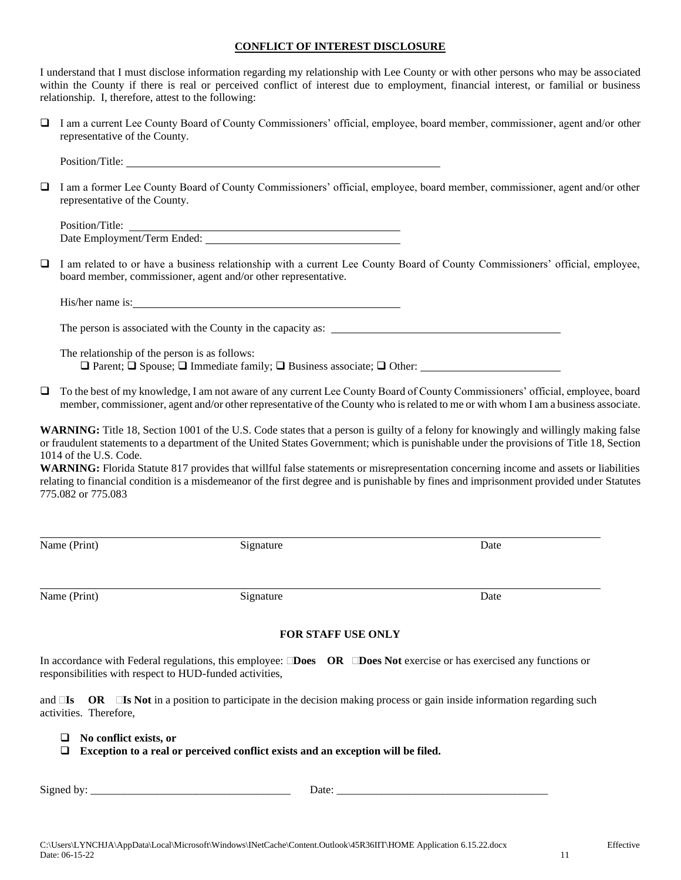#### **CONFLICT OF INTEREST DISCLOSURE**

I understand that I must disclose information regarding my relationship with Lee County or with other persons who may be associated within the County if there is real or perceived conflict of interest due to employment, financial interest, or familial or business relationship. I, therefore, attest to the following:

❑ I am a current Lee County Board of County Commissioners' official, employee, board member, commissioner, agent and/or other representative of the County.

Position/Title:

❑ I am a former Lee County Board of County Commissioners' official, employee, board member, commissioner, agent and/or other representative of the County.

Position/Title: Date Employment/Term Ended:

❑ I am related to or have a business relationship with a current Lee County Board of County Commissioners' official, employee, board member, commissioner, agent and/or other representative.

His/her name is:

The person is associated with the County in the capacity as:

The relationship of the person is as follows: ❑ Parent; ❑ Spouse; ❑ Immediate family; ❑ Business associate; ❑ Other:

❑ To the best of my knowledge, I am not aware of any current Lee County Board of County Commissioners' official, employee, board member, commissioner, agent and/or other representative of the County who is related to me or with whom I am a business associate.

WARNING: Title 18, Section 1001 of the U.S. Code states that a person is guilty of a felony for knowingly and willingly making false or fraudulent statements to a department of the United States Government; which is punishable under the provisions of Title 18, Section 1014 of the U.S. Code.

**WARNING:** Florida Statute 817 provides that willful false statements or misrepresentation concerning income and assets or liabilities relating to financial condition is a misdemeanor of the first degree and is punishable by fines and imprisonment provided under Statutes 775.082 or 775.083

| Name (Print) | Signature | Date |
|--------------|-----------|------|
|              |           |      |
|              |           |      |

Name (Print) Signature Date Date Date

#### **FOR STAFF USE ONLY**

In accordance with Federal regulations, this employee: **Does OR Does Not** exercise or has exercised any functions or responsibilities with respect to HUD-funded activities,

and  $\Box$ **Is** OR  $\Box$ **Is Not** in a position to participate in the decision making process or gain inside information regarding such activities. Therefore,

- ❑ **No conflict exists, or**
- ❑ **Exception to a real or perceived conflict exists and an exception will be filed.**

Signed by: The contract of the contract of the contract of the contract of the contract of the contract of the contract of the contract of the contract of the contract of the contract of the contract of the contract of the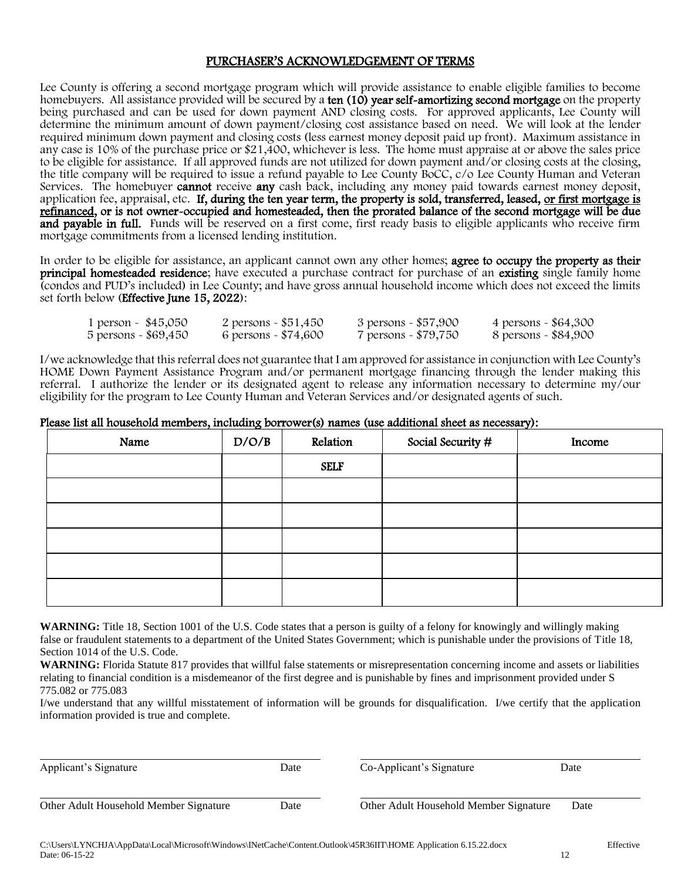#### PURCHASER'S ACKNOWLEDGEMENT OF TERMS

Lee County is offering a second mortgage program which will provide assistance to enable eligible families to become homebuyers. All assistance provided will be secured by a ten (10) year self-amortizing second mortgage on the property being purchased and can be used for down payment AND closing costs. For approved applicants, Lee County will determine the minimum amount of down payment/closing cost assistance based on need. We will look at the lender required minimum down payment and closing costs (less earnest money deposit paid up front). Maximum assistance in any case is 10% of the purchase price or \$21,400, whichever is less. The home must appraise at or above the sales price to be eligible for assistance. If all approved funds are not utilized for down payment and/or closing costs at the closing, the title company will be required to issue a refund payable to Lee County BoCC, c/o Lee County Human and Veteran Services. The homebuyer **cannot** receive **any** cash back, including any money paid towards earnest money deposit, application fee, appraisal, etc. If, during the ten year term, the property is sold, transferred, leased, or first mortgage is refinanced, or is not owner-occupied and homesteaded, then the prorated balance of the second mortgage will be due and payable in full. Funds will be reserved on a first come, first ready basis to eligible applicants who receive firm mortgage commitments from a licensed lending institution.

In order to be eligible for assistance, an applicant cannot own any other homes; **agree to occupy the property as their** principal homesteaded residence; have executed a purchase contract for purchase of an existing single family home (condos and PUD's included) in Lee County; and have gross annual household income which does not exceed the limits set forth below (Effective June 15, 2022):

| 1 person $\sim$ \$45,050 | 2 persons - \$51,450  | 3 persons - \$57,900 | 4 persons - \$64,300 |
|--------------------------|-----------------------|----------------------|----------------------|
| 5 persons - \$69,450     | 6 persons - $$74,600$ | 7 persons - \$79,750 | 8 persons - \$84,900 |

I/we acknowledge that this referral does not guarantee that I am approved for assistance in conjunction with Lee County's HOME Down Payment Assistance Program and/or permanent mortgage financing through the lender making this referral. I authorize the lender or its designated agent to release any information necessary to determine my/our eligibility for the program to Lee County Human and Veteran Services and/or designated agents of such.

| Please list all household members, including borrower(s) names (use additional sheet as necessary): |  |  |  |  |  |  |  |  |  |  |  |  |  |  |
|-----------------------------------------------------------------------------------------------------|--|--|--|--|--|--|--|--|--|--|--|--|--|--|
|                                                                                                     |  |  |  |  |  |  |  |  |  |  |  |  |  |  |

| Name | D/O/B | Relation    | Social Security # | Income |
|------|-------|-------------|-------------------|--------|
|      |       | <b>SELF</b> |                   |        |
|      |       |             |                   |        |
|      |       |             |                   |        |
|      |       |             |                   |        |
|      |       |             |                   |        |
|      |       |             |                   |        |

**WARNING:** Title 18, Section 1001 of the U.S. Code states that a person is guilty of a felony for knowingly and willingly making false or fraudulent statements to a department of the United States Government; which is punishable under the provisions of Title 18, Section 1014 of the U.S. Code.

**WARNING:** Florida Statute 817 provides that willful false statements or misrepresentation concerning income and assets or liabilities relating to financial condition is a misdemeanor of the first degree and is punishable by fines and imprisonment provided under S 775.082 or 775.083

I/we understand that any willful misstatement of information will be grounds for disqualification. I/we certify that the application information provided is true and complete.

| Applicant's Signature                  | Date | Co-Applicant's Signature               | Date |
|----------------------------------------|------|----------------------------------------|------|
| Other Adult Household Member Signature | Date | Other Adult Household Member Signature | Date |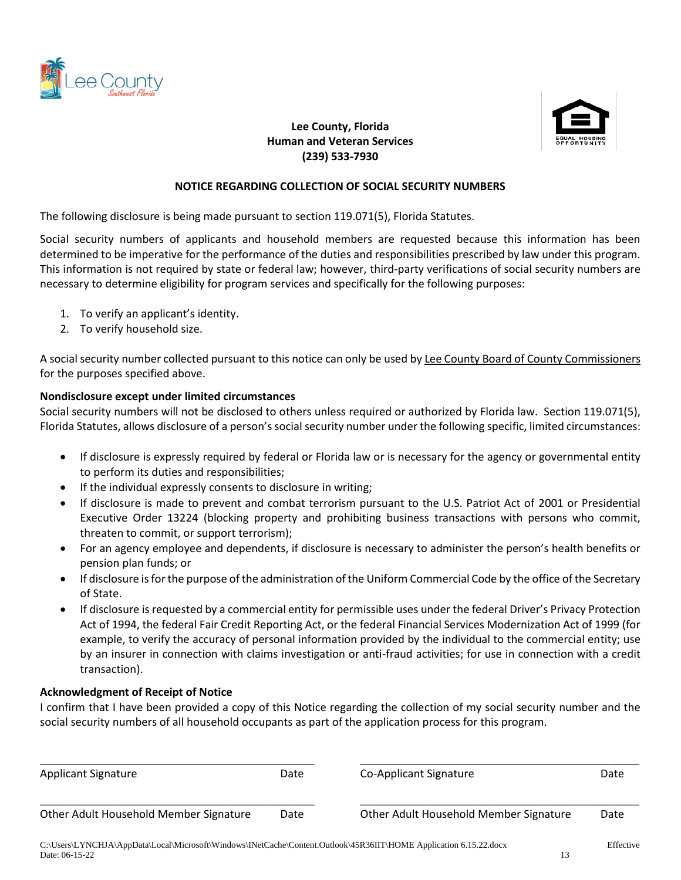



# **Lee County, Florida Human and Veteran Services (239) 533-7930**

#### **NOTICE REGARDING COLLECTION OF SOCIAL SECURITY NUMBERS**

The following disclosure is being made pursuant to section 119.071(5), Florida Statutes.

Social security numbers of applicants and household members are requested because this information has been determined to be imperative for the performance of the duties and responsibilities prescribed by law under this program. This information is not required by state or federal law; however, third-party verifications of social security numbers are necessary to determine eligibility for program services and specifically for the following purposes:

- 1. To verify an applicant's identity.
- 2. To verify household size.

A social security number collected pursuant to this notice can only be used by Lee County Board of County Commissioners for the purposes specified above.

#### **Nondisclosure except under limited circumstances**

Social security numbers will not be disclosed to others unless required or authorized by Florida law. Section 119.071(5), Florida Statutes, allows disclosure of a person's social security number under the following specific, limited circumstances:

- If disclosure is expressly required by federal or Florida law or is necessary for the agency or governmental entity to perform its duties and responsibilities;
- If the individual expressly consents to disclosure in writing;
- If disclosure is made to prevent and combat terrorism pursuant to the U.S. Patriot Act of 2001 or Presidential Executive Order 13224 (blocking property and prohibiting business transactions with persons who commit, threaten to commit, or support terrorism);
- For an agency employee and dependents, if disclosure is necessary to administer the person's health benefits or pension plan funds; or
- If disclosure is for the purpose of the administration of the Uniform Commercial Code by the office of the Secretary of State.
- If disclosure is requested by a commercial entity for permissible uses under the federal Driver's Privacy Protection Act of 1994, the federal Fair Credit Reporting Act, or the federal Financial Services Modernization Act of 1999 (for example, to verify the accuracy of personal information provided by the individual to the commercial entity; use by an insurer in connection with claims investigation or anti-fraud activities; for use in connection with a credit transaction).

#### **Acknowledgment of Receipt of Notice**

I confirm that I have been provided a copy of this Notice regarding the collection of my social security number and the social security numbers of all household occupants as part of the application process for this program.

| <b>Applicant Signature</b>                                                                                        | Date | Co-Applicant Signature                 | Date      |
|-------------------------------------------------------------------------------------------------------------------|------|----------------------------------------|-----------|
| Other Adult Household Member Signature                                                                            | Date | Other Adult Household Member Signature | Date      |
| C:\Users\LYNCHJA\AppData\Local\Microsoft\Windows\INetCache\Content.Outlook\45R36IIT\HOME Application 6.15.22.docx |      |                                        | Effective |